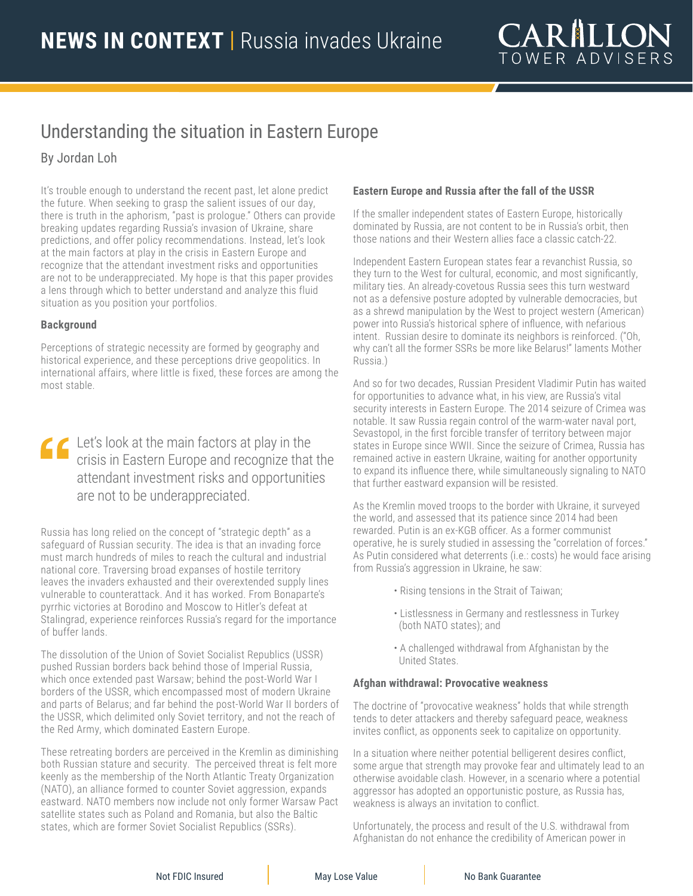# Understanding the situation in Eastern Europe

By Jordan Loh

It's trouble enough to understand the recent past, let alone predict the future. When seeking to grasp the salient issues of our day, there is truth in the aphorism, "past is prologue." Others can provide breaking updates regarding Russia's invasion of Ukraine, share predictions, and offer policy recommendations. Instead, let's look at the main factors at play in the crisis in Eastern Europe and recognize that the attendant investment risks and opportunities are not to be underappreciated. My hope is that this paper provides a lens through which to better understand and analyze this fluid situation as you position your portfolios.

# **Background**

Perceptions of strategic necessity are formed by geography and historical experience, and these perceptions drive geopolitics. In international affairs, where little is fixed, these forces are among the most stable.

Let's look at the main factors at play in the crisis in Eastern Europe and recognize that the attendant investment risks and opportunities are not to be underappreciated.

Russia has long relied on the concept of "strategic depth" as a safeguard of Russian security. The idea is that an invading force must march hundreds of miles to reach the cultural and industrial national core. Traversing broad expanses of hostile territory leaves the invaders exhausted and their overextended supply lines vulnerable to counterattack. And it has worked. From Bonaparte's pyrrhic victories at Borodino and Moscow to Hitler's defeat at Stalingrad, experience reinforces Russia's regard for the importance of buffer lands.

The dissolution of the Union of Soviet Socialist Republics (USSR) pushed Russian borders back behind those of Imperial Russia, which once extended past Warsaw; behind the post-World War I borders of the USSR, which encompassed most of modern Ukraine and parts of Belarus; and far behind the post-World War II borders of the USSR, which delimited only Soviet territory, and not the reach of the Red Army, which dominated Eastern Europe.

These retreating borders are perceived in the Kremlin as diminishing both Russian stature and security. The perceived threat is felt more keenly as the membership of the North Atlantic Treaty Organization (NATO), an alliance formed to counter Soviet aggression, expands eastward. NATO members now include not only former Warsaw Pact satellite states such as Poland and Romania, but also the Baltic states, which are former Soviet Socialist Republics (SSRs).

# **Eastern Europe and Russia after the fall of the USSR**

If the smaller independent states of Eastern Europe, historically dominated by Russia, are not content to be in Russia's orbit, then those nations and their Western allies face a classic catch-22.

Independent Eastern European states fear a revanchist Russia, so they turn to the West for cultural, economic, and most significantly, military ties. An already-covetous Russia sees this turn westward not as a defensive posture adopted by vulnerable democracies, but as a shrewd manipulation by the West to project western (American) power into Russia's historical sphere of influence, with nefarious intent. Russian desire to dominate its neighbors is reinforced. ("Oh, why can't all the former SSRs be more like Belarus!" laments Mother Russia.)

And so for two decades, Russian President Vladimir Putin has waited for opportunities to advance what, in his view, are Russia's vital security interests in Eastern Europe. The 2014 seizure of Crimea was notable. It saw Russia regain control of the warm-water naval port, Sevastopol, in the first forcible transfer of territory between major states in Europe since WWII. Since the seizure of Crimea, Russia has remained active in eastern Ukraine, waiting for another opportunity to expand its influence there, while simultaneously signaling to NATO that further eastward expansion will be resisted.

As the Kremlin moved troops to the border with Ukraine, it surveyed the world, and assessed that its patience since 2014 had been rewarded. Putin is an ex-KGB officer. As a former communist operative, he is surely studied in assessing the "correlation of forces." As Putin considered what deterrents (i.e.: costs) he would face arising from Russia's aggression in Ukraine, he saw:

- Rising tensions in the Strait of Taiwan;
- Listlessness in Germany and restlessness in Turkey (both NATO states); and
- A challenged withdrawal from Afghanistan by the United States.

## **Afghan withdrawal: Provocative weakness**

The doctrine of "provocative weakness" holds that while strength tends to deter attackers and thereby safeguard peace, weakness invites conflict, as opponents seek to capitalize on opportunity.

In a situation where neither potential belligerent desires conflict, some argue that strength may provoke fear and ultimately lead to an otherwise avoidable clash. However, in a scenario where a potential aggressor has adopted an opportunistic posture, as Russia has, weakness is always an invitation to conflict.

Unfortunately, the process and result of the U.S. withdrawal from Afghanistan do not enhance the credibility of American power in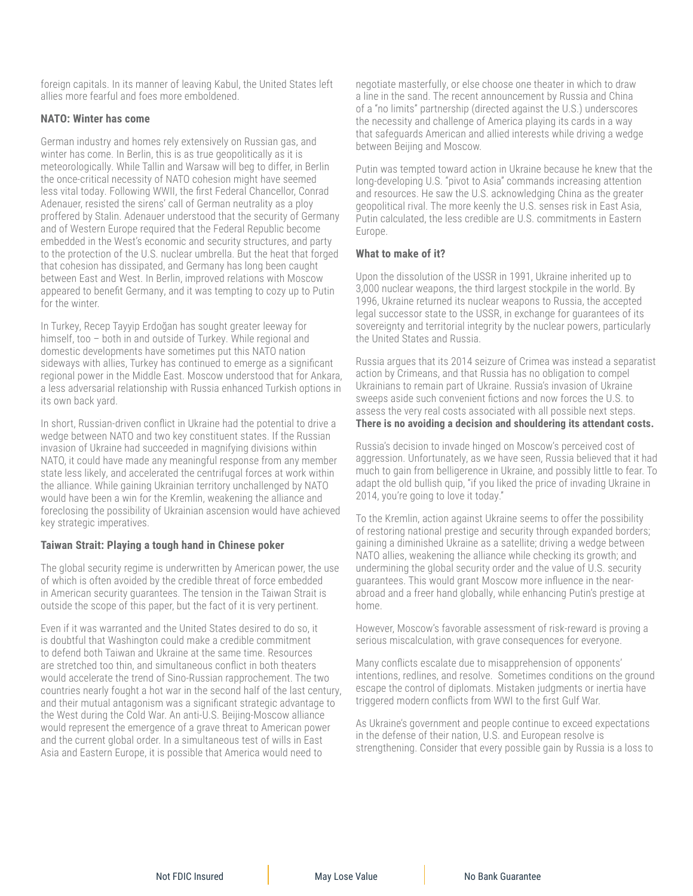foreign capitals. In its manner of leaving Kabul, the United States left allies more fearful and foes more emboldened.

#### **NATO: Winter has come**

German industry and homes rely extensively on Russian gas, and winter has come. In Berlin, this is as true geopolitically as it is meteorologically. While Tallin and Warsaw will beg to differ, in Berlin the once-critical necessity of NATO cohesion might have seemed less vital today. Following WWII, the first Federal Chancellor, Conrad Adenauer, resisted the sirens' call of German neutrality as a ploy proffered by Stalin. Adenauer understood that the security of Germany and of Western Europe required that the Federal Republic become embedded in the West's economic and security structures, and party to the protection of the U.S. nuclear umbrella. But the heat that forged that cohesion has dissipated, and Germany has long been caught between East and West. In Berlin, improved relations with Moscow appeared to benefit Germany, and it was tempting to cozy up to Putin for the winter.

In Turkey, Recep Tayyip Erdoğan has sought greater leeway for himself, too – both in and outside of Turkey. While regional and domestic developments have sometimes put this NATO nation sideways with allies, Turkey has continued to emerge as a significant regional power in the Middle East. Moscow understood that for Ankara, a less adversarial relationship with Russia enhanced Turkish options in its own back yard.

In short, Russian-driven conflict in Ukraine had the potential to drive a wedge between NATO and two key constituent states. If the Russian invasion of Ukraine had succeeded in magnifying divisions within NATO, it could have made any meaningful response from any member state less likely, and accelerated the centrifugal forces at work within the alliance. While gaining Ukrainian territory unchallenged by NATO would have been a win for the Kremlin, weakening the alliance and foreclosing the possibility of Ukrainian ascension would have achieved key strategic imperatives.

## **Taiwan Strait: Playing a tough hand in Chinese poker**

The global security regime is underwritten by American power, the use of which is often avoided by the credible threat of force embedded in American security guarantees. The tension in the Taiwan Strait is outside the scope of this paper, but the fact of it is very pertinent.

Even if it was warranted and the United States desired to do so, it is doubtful that Washington could make a credible commitment to defend both Taiwan and Ukraine at the same time. Resources are stretched too thin, and simultaneous conflict in both theaters would accelerate the trend of Sino-Russian rapprochement. The two countries nearly fought a hot war in the second half of the last century, and their mutual antagonism was a significant strategic advantage to the West during the Cold War. An anti-U.S. Beijing-Moscow alliance would represent the emergence of a grave threat to American power and the current global order. In a simultaneous test of wills in East Asia and Eastern Europe, it is possible that America would need to

negotiate masterfully, or else choose one theater in which to draw a line in the sand. The recent announcement by Russia and China of a "no limits" partnership (directed against the U.S.) underscores the necessity and challenge of America playing its cards in a way that safeguards American and allied interests while driving a wedge between Beijing and Moscow.

Putin was tempted toward action in Ukraine because he knew that the long-developing U.S. "pivot to Asia" commands increasing attention and resources. He saw the U.S. acknowledging China as the greater geopolitical rival. The more keenly the U.S. senses risk in East Asia, Putin calculated, the less credible are U.S. commitments in Eastern Europe.

#### **What to make of it?**

Upon the dissolution of the USSR in 1991, Ukraine inherited up to 3,000 nuclear weapons, the third largest stockpile in the world. By 1996, Ukraine returned its nuclear weapons to Russia, the accepted legal successor state to the USSR, in exchange for guarantees of its sovereignty and territorial integrity by the nuclear powers, particularly the United States and Russia.

Russia argues that its 2014 seizure of Crimea was instead a separatist action by Crimeans, and that Russia has no obligation to compel Ukrainians to remain part of Ukraine. Russia's invasion of Ukraine sweeps aside such convenient fictions and now forces the U.S. to assess the very real costs associated with all possible next steps. **There is no avoiding a decision and shouldering its attendant costs.**

Russia's decision to invade hinged on Moscow's perceived cost of aggression. Unfortunately, as we have seen, Russia believed that it had much to gain from belligerence in Ukraine, and possibly little to fear. To adapt the old bullish quip, "if you liked the price of invading Ukraine in 2014, you're going to love it today."

To the Kremlin, action against Ukraine seems to offer the possibility of restoring national prestige and security through expanded borders; gaining a diminished Ukraine as a satellite; driving a wedge between NATO allies, weakening the alliance while checking its growth; and undermining the global security order and the value of U.S. security guarantees. This would grant Moscow more influence in the nearabroad and a freer hand globally, while enhancing Putin's prestige at home.

However, Moscow's favorable assessment of risk-reward is proving a serious miscalculation, with grave consequences for everyone.

Many conflicts escalate due to misapprehension of opponents' intentions, redlines, and resolve. Sometimes conditions on the ground escape the control of diplomats. Mistaken judgments or inertia have triggered modern conflicts from WWI to the first Gulf War.

As Ukraine's government and people continue to exceed expectations in the defense of their nation, U.S. and European resolve is strengthening. Consider that every possible gain by Russia is a loss to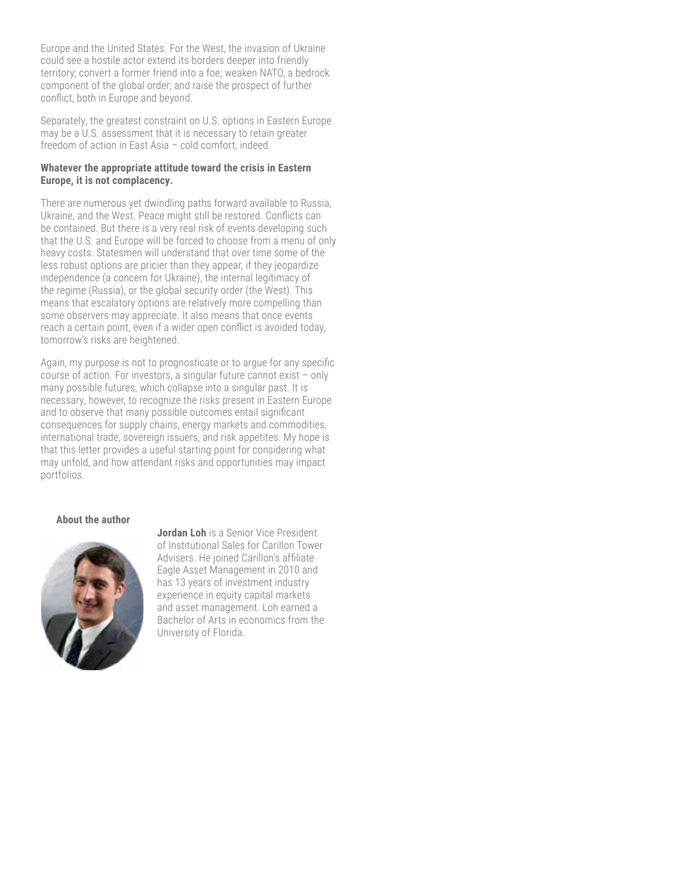Europe and the United States. For the West, the invasion of Ukraine could see a hostile actor extend its borders deeper into friendly territory; convert a former friend into a foe; weaken NATO, a bedrock component of the global order; and raise the prospect of further conflict, both in Europe and beyond.

Separately, the greatest constraint on U.S. options in Eastern Europe may be a U.S. assessment that it is necessary to retain greater freedom of action in East Asia – cold comfort, indeed.

#### **Whatever the appropriate attitude toward the crisis in Eastern Europe, it is not complacency.**

There are numerous yet dwindling paths forward available to Russia, Ukraine, and the West. Peace might still be restored. Conflicts can be contained. But there is a very real risk of events developing such that the U.S. and Europe will be forced to choose from a menu of only heavy costs. Statesmen will understand that over time some of the less robust options are pricier than they appear, if they jeopardize independence (a concern for Ukraine), the internal legitimacy of the regime (Russia), or the global security order (the West). This means that escalatory options are relatively more compelling than some observers may appreciate. It also means that once events reach a certain point, even if a wider open conflict is avoided today, tomorrow's risks are heightened.

Again, my purpose is not to prognosticate or to argue for any specific course of action. For investors, a singular future cannot exist – only many possible futures, which collapse into a singular past. It is necessary, however, to recognize the risks present in Eastern Europe and to observe that many possible outcomes entail significant consequences for supply chains, energy markets and commodities, international trade, sovereign issuers, and risk appetites. My hope is that this letter provides a useful starting point for considering what may unfold, and how attendant risks and opportunities may impact portfolios.

#### **About the author**



**Jordan Loh** is a Senior Vice President of Institutional Sales for Carillon Tower Advisers. He joined Carillon's affiliate Eagle Asset Management in 2010 and has 13 years of investment industry experience in equity capital markets and asset management. Loh earned a Bachelor of Arts in economics from the University of Florida.